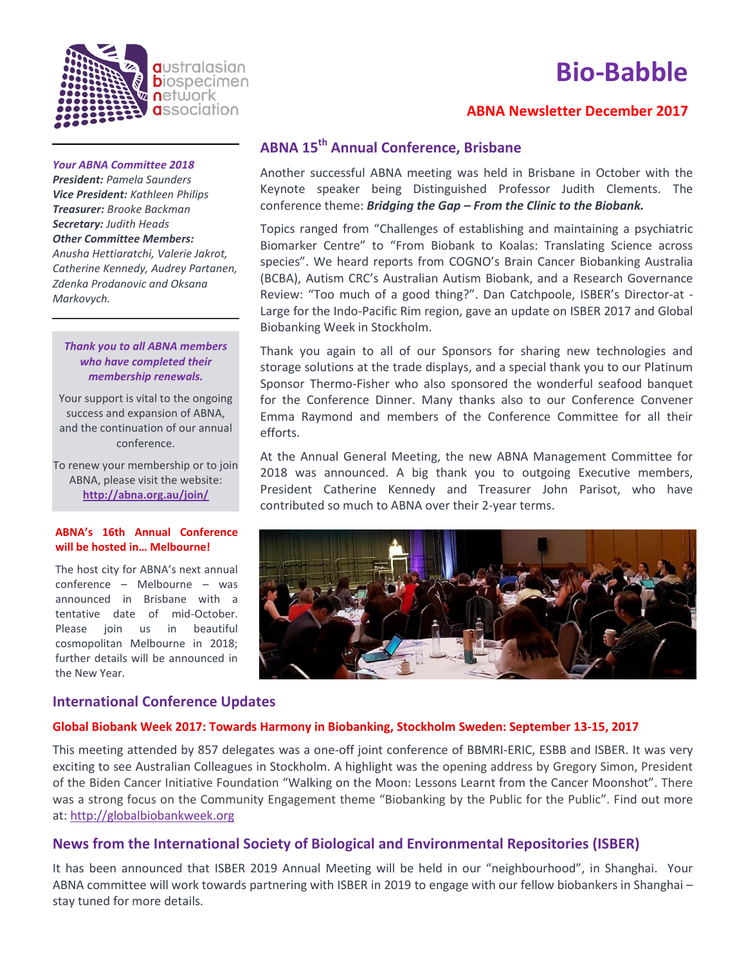

# **ABNA Newsletter December 2017**



#### *Your ABNA Committee 2018*

*Markovych.*

*President: Pamela Saunders Vice President: Kathleen Philips Treasurer: Brooke Backman Secretary: Judith Heads Other Committee Members: Anusha Hettiaratchi, Valerie Jakrot, Catherine Kennedy, Audrey Partanen, Zdenka Prodanovic and Oksana* 

## *Thank you to all ABNA members who have completed their membership renewals.*

Your support is vital to the ongoing success and expansion of ABNA, and the continuation of our annual conference.

To renew your membership or to join ABNA, please visit the website: **<http://abna.org.au/join/>**

### **ABNA's 16th Annual Conference will be hosted in… Melbourne!**

The host city for ABNA's next annual conference – Melbourne – was announced in Brisbane with a tentative date of mid-October. Please join us in beautiful cosmopolitan Melbourne in 2018; further details will be announced in the New Year.

## **International Conference Updates**

# **ABNA 15th Annual Conference, Brisbane**

Another successful ABNA meeting was held in Brisbane in October with the Keynote speaker being Distinguished Professor Judith Clements. The conference theme: *Bridging the Gap – From the Clinic to the Biobank.*

Topics ranged from "Challenges of establishing and maintaining a psychiatric Biomarker Centre" to "From Biobank to Koalas: Translating Science across species". We heard reports from COGNO's Brain Cancer Biobanking Australia (BCBA), Autism CRC's Australian Autism Biobank, and a Research Governance Review: "Too much of a good thing?". Dan Catchpoole, ISBER's Director-at - Large for the Indo-Pacific Rim region, gave an update on ISBER 2017 and Global Biobanking Week in Stockholm.

Thank you again to all of our Sponsors for sharing new technologies and storage solutions at the trade displays, and a special thank you to our Platinum Sponsor Thermo-Fisher who also sponsored the wonderful seafood banquet for the Conference Dinner. Many thanks also to our Conference Convener Emma Raymond and members of the Conference Committee for all their efforts.

At the Annual General Meeting, the new ABNA Management Committee for 2018 was announced. A big thank you to outgoing Executive members, President Catherine Kennedy and Treasurer John Parisot, who have contributed so much to ABNA over their 2-year terms.



# **Global Biobank Week 2017: Towards Harmony in Biobanking, Stockholm Sweden: September 13-15, 2017**

This meeting attended by 857 delegates was a one-off joint conference of BBMRI-ERIC, ESBB and ISBER. It was very exciting to see Australian Colleagues in Stockholm. A highlight was the opening address by Gregory Simon, President of the Biden Cancer Initiative Foundation "Walking on the Moon: Lessons Learnt from the Cancer Moonshot". There was a strong focus on the Community Engagement theme "Biobanking by the Public for the Public". Find out more at: [http://globalbiobankweek.org](http://globalbiobankweek.org/)

# **News from the International Society of Biological and Environmental Repositories (ISBER)**

It has been announced that ISBER 2019 Annual Meeting will be held in our "neighbourhood", in Shanghai. Your ABNA committee will work towards partnering with ISBER in 2019 to engage with our fellow biobankers in Shanghai – stay tuned for more details.